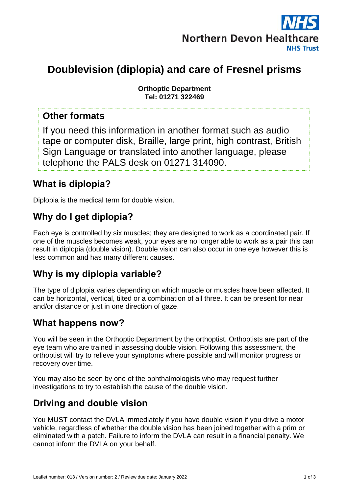

# **Doublevision (diplopia) and care of Fresnel prisms**

**Orthoptic Department Tel: 01271 322469**

#### **Other formats**

If you need this information in another format such as audio tape or computer disk, Braille, large print, high contrast, British Sign Language or translated into another language, please telephone the PALS desk on 01271 314090.

#### **What is diplopia?**

Diplopia is the medical term for double vision.

## **Why do I get diplopia?**

Each eye is controlled by six muscles; they are designed to work as a coordinated pair. If one of the muscles becomes weak, your eyes are no longer able to work as a pair this can result in diplopia (double vision). Double vision can also occur in one eye however this is less common and has many different causes.

#### **Why is my diplopia variable?**

The type of diplopia varies depending on which muscle or muscles have been affected. It can be horizontal, vertical, tilted or a combination of all three. It can be present for near and/or distance or just in one direction of gaze.

#### **What happens now?**

You will be seen in the Orthoptic Department by the orthoptist. Orthoptists are part of the eye team who are trained in assessing double vision. Following this assessment, the orthoptist will try to relieve your symptoms where possible and will monitor progress or recovery over time.

You may also be seen by one of the ophthalmologists who may request further investigations to try to establish the cause of the double vision.

## **Driving and double vision**

You MUST contact the DVLA immediately if you have double vision if you drive a motor vehicle, regardless of whether the double vision has been joined together with a prim or eliminated with a patch. Failure to inform the DVLA can result in a financial penalty. We cannot inform the DVLA on your behalf.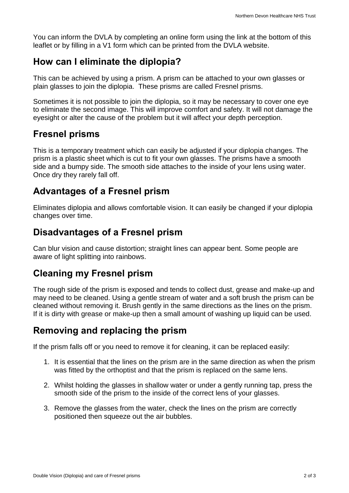You can inform the DVLA by completing an online form using the link at the bottom of this leaflet or by filling in a V1 form which can be printed from the DVLA website.

#### **How can I eliminate the diplopia?**

This can be achieved by using a prism. A prism can be attached to your own glasses or plain glasses to join the diplopia. These prisms are called Fresnel prisms.

Sometimes it is not possible to join the diplopia, so it may be necessary to cover one eye to eliminate the second image. This will improve comfort and safety. It will not damage the eyesight or alter the cause of the problem but it will affect your depth perception.

#### **Fresnel prisms**

This is a temporary treatment which can easily be adjusted if your diplopia changes. The prism is a plastic sheet which is cut to fit your own glasses. The prisms have a smooth side and a bumpy side. The smooth side attaches to the inside of your lens using water. Once dry they rarely fall off.

## **Advantages of a Fresnel prism**

Eliminates diplopia and allows comfortable vision. It can easily be changed if your diplopia changes over time.

#### **Disadvantages of a Fresnel prism**

Can blur vision and cause distortion; straight lines can appear bent. Some people are aware of light splitting into rainbows.

#### **Cleaning my Fresnel prism**

The rough side of the prism is exposed and tends to collect dust, grease and make-up and may need to be cleaned. Using a gentle stream of water and a soft brush the prism can be cleaned without removing it. Brush gently in the same directions as the lines on the prism. If it is dirty with grease or make-up then a small amount of washing up liquid can be used.

## **Removing and replacing the prism**

If the prism falls off or you need to remove it for cleaning, it can be replaced easily:

- 1. It is essential that the lines on the prism are in the same direction as when the prism was fitted by the orthoptist and that the prism is replaced on the same lens.
- 2. Whilst holding the glasses in shallow water or under a gently running tap, press the smooth side of the prism to the inside of the correct lens of your glasses.
- 3. Remove the glasses from the water, check the lines on the prism are correctly positioned then squeeze out the air bubbles.